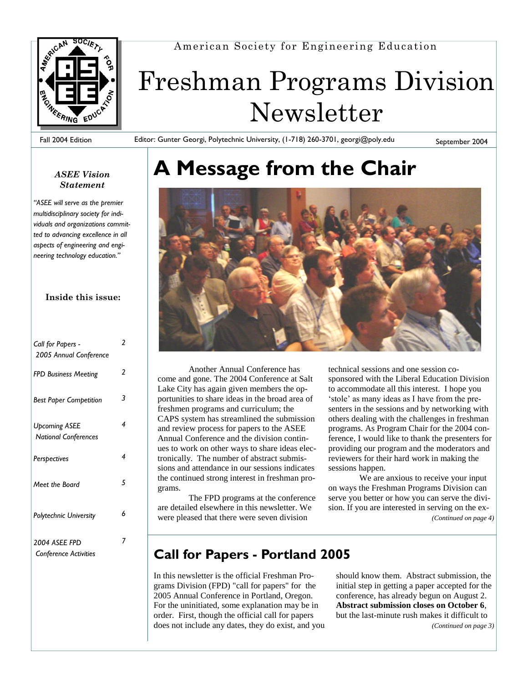

American Society for Engineering Education

# Freshman Programs Division Newsletter

Fall 2004 Edition

Editor: Gunter Georgi, Polytechnic University, (1-718) 260-3701, georgi@poly.edu

September 2004

#### *ASEE Vision Statement*

"ASEE will serve as the premier *multidisciplinary society for individuals and organizations committed to advancing excellence in all aspects of engineering and engi* $neering$  technology education."

#### **Inside this issue:**

| Call for Papers -<br>2005 Annual Conference         | 2 |
|-----------------------------------------------------|---|
| FPD Business Meeting                                | 2 |
| <b>Best Paper Competition</b>                       | 3 |
| <b>Upcoming ASEE</b><br><b>National Conferences</b> | 4 |
| Perspectives                                        | 4 |
| Meet the Board                                      | 5 |
| <b>Polytechnic University</b>                       | 6 |
| 2004 ASEE FPD<br><b>Conference Activities</b>       |   |

## **A Message from the Chair**



Another Annual Conference has come and gone. The 2004 Conference at Salt Lake City has again given members the opportunities to share ideas in the broad area of freshmen programs and curriculum; the CAPS system has streamlined the submission and review process for papers to the ASEE Annual Conference and the division continues to work on other ways to share ideas electronically. The number of abstract submissions and attendance in our sessions indicates the continued strong interest in freshman programs.

The FPD programs at the conference are detailed elsewhere in this newsletter. We were pleased that there were seven division

technical sessions and one session cosponsored with the Liberal Education Division to accommodate all this interest. I hope you 'stole' as many ideas as I have from the presenters in the sessions and by networking with others dealing with the challenges in freshman programs. As Program Chair for the 2004 conference, I would like to thank the presenters for providing our program and the moderators and reviewers for their hard work in making the sessions happen.

We are anxious to receive your input on ways the Freshman Programs Division can serve you better or how you can serve the division. If you are interested in serving on the ex- *(Continued on page 4)*

#### **Call for Papers - Portland 2005**

In this newsletter is the official Freshman Programs Division (FPD) "call for papers" for the 2005 Annual Conference in Portland, Oregon. For the uninitiated, some explanation may be in order. First, though the official call for papers does not include any dates, they do exist, and you should know them. Abstract submission, the initial step in getting a paper accepted for the conference, has already begun on August 2. **Abstract submission closes on October 6**, but the last-minute rush makes it difficult to *(Continued on page 3)*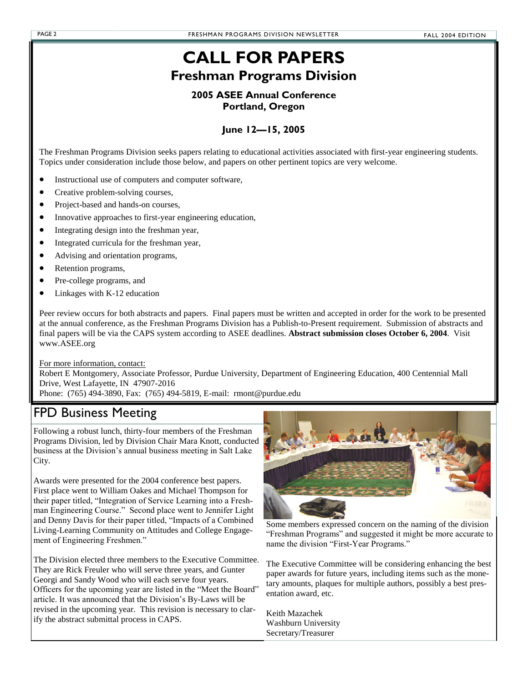#### **CALL FOR PAPERS Freshman Programs Division**

#### **2005 ASEE Annual Conference Portland, Oregon**

#### **June 12—15, 2005**

The Freshman Programs Division seeks papers relating to educational activities associated with first-year engineering students. Topics under consideration include those below, and papers on other pertinent topics are very welcome.

- Instructional use of computers and computer software,
- Creative problem-solving courses,
- Project-based and hands-on courses,
- Innovative approaches to first-year engineering education,
- Integrating design into the freshman year,
- Integrated curricula for the freshman year,
- Advising and orientation programs,
- Retention programs,
- Pre-college programs, and
- Linkages with K-12 education

Peer review occurs for both abstracts and papers. Final papers must be written and accepted in order for the work to be presented at the annual conference, as the Freshman Programs Division has a Publish-to-Present requirement. Submission of abstracts and final papers will be via the CAPS system according to ASEE deadlines. **Abstract submission closes October 6, 2004**. Visit www.ASEE.org

For more information, contact:

Robert E Montgomery, Associate Professor, Purdue University, Department of Engineering Education, 400 Centennial Mall Drive, West Lafayette, IN 47907-2016

Phone: (765) 494-3890, Fax: (765) 494-5819, E-mail: rmont@purdue.edu

#### FPD Business Meeting

Following a robust lunch, thirty-four members of the Freshman Programs Division, led by Division Chair Mara Knott, conducted business at the Division's annual business meeting in Salt Lake City.

Awards were presented for the 2004 conference best papers. First place went to William Oakes and Michael Thompson for their paper titled, "Integration of Service Learning into a Freshman Engineering Course." Second place went to Jennifer Light and Denny Davis for their paper titled, "Impacts of a Combined Living-Learning Community on Attitudes and College Engagement of Engineering Freshmen."

The Division elected three members to the Executive Committee. They are Rick Freuler who will serve three years, and Gunter Georgi and Sandy Wood who will each serve four years. Officers for the upcoming year are listed in the "Meet the Board" article. It was announced that the Division's By-Laws will be revised in the upcoming year. This revision is necessary to clarify the abstract submittal process in CAPS.



Some members expressed concern on the naming of the division "Freshman Programs" and suggested it might be more accurate to name the division "First-Year Programs."

The Executive Committee will be considering enhancing the best paper awards for future years, including items such as the monetary amounts, plaques for multiple authors, possibly a best presentation award, etc.

Keith Mazachek Washburn University Secretary/Treasurer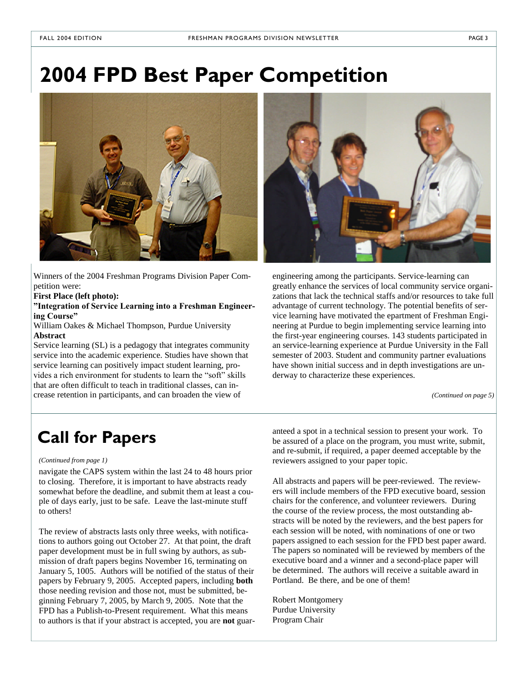### **2004 FPD Best Paper Competition**



Winners of the 2004 Freshman Programs Division Paper Competition were:

**First Place (left photo):**

"Integration of Service Learning into a Freshman Engineer**ingCourse"**

William Oakes & Michael Thompson, Purdue University **Abstract**

Service learning (SL) is a pedagogy that integrates community service into the academic experience. Studies have shown that service learning can positively impact student learning, provides a rich environment for students to learn the "soft" skills that are often difficult to teach in traditional classes, can increase retention in participants, and can broaden the view of



engineering among the participants. Service-learning can greatly enhance the services of local community service organizations that lack the technical staffs and/or resources to take full advantage of current technology. The potential benefits of service learning have motivated the epartment of Freshman Engineering at Purdue to begin implementing service learning into the first-year engineering courses. 143 students participated in an service-learning experience at Purdue University in the Fall semester of 2003. Student and community partner evaluations have shown initial success and in depth investigations are underway to characterize these experiences.

*(Continued on page 5)*

#### *(Continued from page 1)*

navigate the CAPS system within the last 24 to 48 hours prior to closing. Therefore, it is important to have abstracts ready somewhat before the deadline, and submit them at least a couple of days early, just to be safe. Leave the last-minute stuff to others!

The review of abstracts lasts only three weeks, with notifications to authors going out October 27. At that point, the draft paper development must be in full swing by authors, as submission of draft papers begins November 16, terminating on January 5, 1005. Authors will be notified of the status of their papers by February 9, 2005. Accepted papers, including **both** those needing revision and those not, must be submitted, beginning February 7, 2005, by March 9, 2005. Note that the FPD has a Publish-to-Present requirement. What this means to authors is that if your abstract is accepted, you are **not** guar-

**Call for Papers** anteed a spot in a technical session to present your work. To be assured of a place on the program, you must write, submit, be assured of a place on the program, you must write, submit, and re-submit, if required, a paper deemed acceptable by the reviewers assigned to your paper topic.

> All abstracts and papers will be peer-reviewed. The reviewers will include members of the FPD executive board, session chairs for the conference, and volunteer reviewers. During the course of the review process, the most outstanding abstracts will be noted by the reviewers, and the best papers for each session will be noted, with nominations of one or two papers assigned to each session for the FPD best paper award. The papers so nominated will be reviewed by members of the executive board and a winner and a second-place paper will be determined. The authors will receive a suitable award in Portland. Be there, and be one of them!

Robert Montgomery Purdue University Program Chair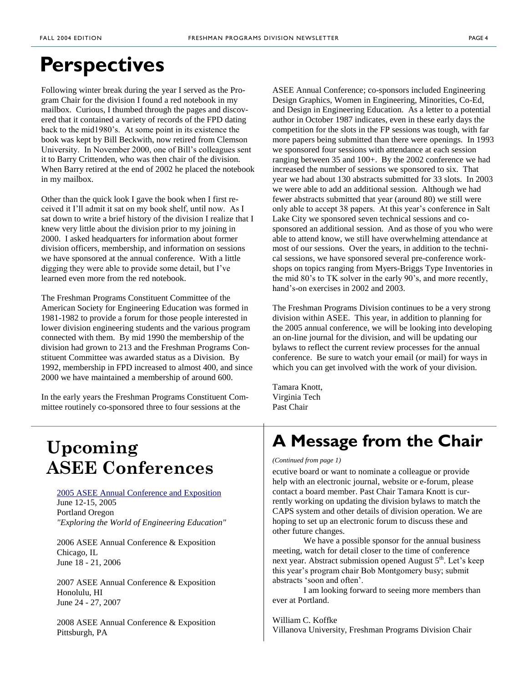### **Perspectives**

Following winter break during the year I served as the Program Chair for the division I found a red notebook in my mailbox. Curious, I thumbed through the pages and discovered that it contained a variety of records of the FPD dating back to the mid1980's. At some point in its existence the book was kept by Bill Beckwith, now retired from Clemson University. In November 2000, one of Bill's colleagues sent it to Barry Crittenden, who was then chair of the division. When Barry retired at the end of 2002 he placed the notebook in my mailbox.

Other than the quick look I gave the book when I first received it I'll admit it sat on my book shelf, until now. As I sat down to write a brief history of the division I realize that I knew very little about the division prior to my joining in 2000. I asked headquarters for information about former division officers, membership, and information on sessions we have sponsored at the annual conference. With a little digging they were able to provide some detail, but I've learned even more from the red notebook.

The Freshman Programs Constituent Committee of the American Society for Engineering Education was formed in 1981-1982 to provide a forum for those people interested in lower division engineering students and the various program connected with them. By mid 1990 the membership of the division had grown to 213 and the Freshman Programs Constituent Committee was awarded status as a Division. By 1992, membership in FPD increased to almost 400, and since 2000 we have maintained a membership of around 600.

In the early years the Freshman Programs Constituent Committee routinely co-sponsored three to four sessions at the

ASEE Annual Conference; co-sponsors included Engineering Design Graphics, Women in Engineering, Minorities, Co-Ed, and Design in Engineering Education. As a letter to a potential author in October 1987 indicates, even in these early days the competition for the slots in the FP sessions was tough, with far more papers being submitted than there were openings. In 1993 we sponsored four sessions with attendance at each session ranging between 35 and 100+. By the 2002 conference we had increased the number of sessions we sponsored to six. That year we had about 130 abstracts submitted for 33 slots. In 2003 we were able to add an additional session. Although we had fewer abstracts submitted that year (around 80) we still were only able to accept 38 papers. At this year's conference in Salt Lake City we sponsored seven technical sessions and cosponsored an additional session. And as those of you who were able to attend know, we still have overwhelming attendance at most of our sessions. Over the years, in addition to the technical sessions, we have sponsored several pre-conference workshops on topics ranging from Myers-Briggs Type Inventories in the mid 80's to TK solver in the early 90's, and more recently, hand's-on exercises in 2002 and 2003.

The Freshman Programs Division continues to be a very strong division within ASEE. This year, in addition to planning for the 2005 annual conference, we will be looking into developing an on-line journal for the division, and will be updating our bylaws to reflect the current review processes for the annual conference. Be sure to watch your email (or mail) for ways in which you can get involved with the work of your division.

Tamara Knott, Virginia Tech Past Chair

#### **A Message from the Chair**

*(Continued from page 1)*

ecutive board or want to nominate a colleague or provide help with an electronic journal, website or e-forum, please contact a board member. Past Chair Tamara Knott is currently working on updating the division bylaws to match the CAPS system and other details of division operation. We are hoping to set up an electronic forum to discuss these and other future changes.

We have a possible sponsor for the annual business meeting, watch for detail closer to the time of conference next year. Abstract submission opened August 5<sup>th</sup>. Let's keep this year's program chair Bob Montgomery busy; submit abstracts'soonandoften'.

I am looking forward to seeing more members than ever at Portland.

William C. Koffke Villanova University, Freshman Programs Division Chair

### **Upcoming ASEE Conferences**

2005 ASEE Annual Conference and Exposition June 12-15, 2005 Portland Oregon *"Exploring the World of Engineering Education"*

2006 ASEE Annual Conference & Exposition Chicago, IL June 18 - 21, 2006

2007 ASEE Annual Conference & Exposition Honolulu, HI June 24 - 27, 2007

2008 ASEE Annual Conference & Exposition Pittsburgh, PA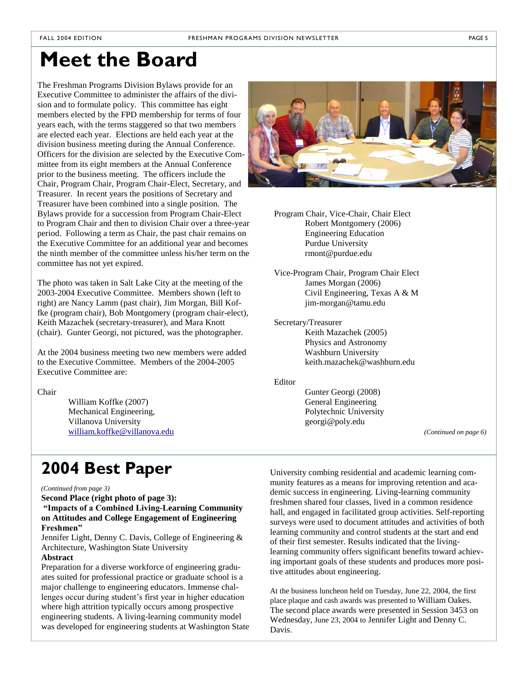### **Meet the Board**

The Freshman Programs Division Bylaws provide for an Executive Committee to administer the affairs of the division and to formulate policy. This committee has eight members elected by the FPD membership for terms of four years each, with the terms staggered so that two members are elected each year. Elections are held each year at the division business meeting during the Annual Conference. Officers for the division are selected by the Executive Committee from its eight members at the Annual Conference prior to the business meeting. The officers include the Chair, Program Chair, Program Chair-Elect, Secretary, and Treasurer. In recent years the positions of Secretary and Treasurer have been combined into a single position. The Bylaws provide for a succession from Program Chair-Elect to Program Chair and then to division Chair over a three-year period. Following a term as Chair, the past chair remains on the Executive Committee for an additional year and becomes the ninth member of the committee unless his/her term on the committee has not yet expired.

The photo was taken in Salt Lake City at the meeting of the 2003-2004 Executive Committee. Members shown (left to right) are Nancy Lamm (past chair), Jim Morgan, Bill Koffke (program chair), Bob Montgomery (program chair-elect), Keith Mazachek (secretary-treasurer), and Mara Knott (chair). Gunter Georgi, not pictured, was the photographer.

At the 2004 business meeting two new members were added to the Executive Committee. Members of the 2004-2005 Executive Committee are:

Chair

William Koffke (2007) Mechanical Engineering, Villanova University william.koffke@villanova.edu



Program Chair, Vice-Chair, Chair Elect Robert Montgomery (2006) Engineering Education Purdue University rmont@purdue.edu

Vice-Program Chair, Program Chair Elect James Morgan (2006) Civil Engineering, Texas A & M jim-morgan@tamu.edu

Secretary/Treasurer

Keith Mazachek (2005) Physics and Astronomy Washburn University keith.mazachek@washburn.edu

Editor

Gunter Georgi (2008) General Engineering Polytechnic University georgi@poly.edu

*(Continued on page 6)*

### **2004 Best Paper** University combing residential and academic learning com-

#### *(Continued from page 3)*

**Second Place (right photo of page 3): "ImpactsofaCombinedLiving-Learning Community on Attitudes and College Engagement of Engineering Freshmen"**

Jennifer Light, Denny C. Davis, College of Engineering & Architecture, Washington State University

#### **Abstract**

Preparation for a diverse workforce of engineering graduates suited for professional practice or graduate school is a major challenge to engineering educators. Immense challenges occur during student's first year in higher education where high attrition typically occurs among prospective engineering students. A living-learning community model was developed for engineering students at Washington State munity features as a means for improving retention and academic success in engineering. Living-learning community freshmen shared four classes, lived in a common residence hall, and engaged in facilitated group activities. Self-reporting surveys were used to document attitudes and activities of both learning community and control students at the start and end of their first semester. Results indicated that the livinglearning community offers significant benefits toward achieving important goals of these students and produces more positive attitudes about engineering.

At the business luncheon held on Tuesday, June 22, 2004, the first place plaque and cash awards was presented to William Oakes. The second place awards were presented in Session 3453 on Wednesday, June 23, 2004 to Jennifer Light and Denny C. Davis.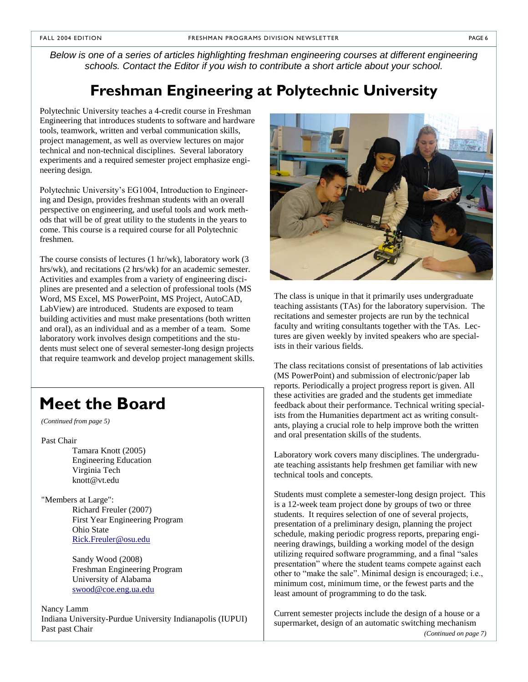*Below is one of a series of articles highlighting freshman engineering courses at different engineering schools. Contact the Editor if you wish to contribute a short article about your school.*

#### **Freshman Engineering at Polytechnic University**

Polytechnic University teaches a 4-credit course in Freshman Engineering that introduces students to software and hardware tools, teamwork, written and verbal communication skills, project management, as well as overview lectures on major technical and non-technical disciplines. Several laboratory experiments and a required semester project emphasize engineering design.

Polytechnic University's EG1004, Introduction to Engineering and Design, provides freshman students with an overall perspective on engineering, and useful tools and work methods that will be of great utility to the students in the years to come. This course is a required course for all Polytechnic freshmen.

The course consists of lectures (1 hr/wk), laboratory work (3 hrs/wk), and recitations (2 hrs/wk) for an academic semester. Activities and examples from a variety of engineering disciplines are presented and a selection of professional tools (MS Word, MS Excel, MS PowerPoint, MS Project, AutoCAD, LabView) are introduced. Students are exposed to team building activities and must make presentations (both written and oral), as an individual and as a member of a team. Some laboratory work involves design competitions and the students must select one of several semester-long design projects that require teamwork and develop project management skills.

### **Meet the Board**

*(Continued from page 5)*

Past Chair

Tamara Knott (2005) Engineering Education Virginia Tech knott@vt.edu

"Members at Large": Richard Freuler (2007) First Year Engineering Program Ohio State Rick.Freuler@osu.edu

> Sandy Wood (2008) Freshman Engineering Program University of Alabama swood@coe.eng.ua.edu

Nancy Lamm Indiana University-Purdue University Indianapolis (IUPUI) Past past Chair



The class is unique in that it primarily uses undergraduate teaching assistants (TAs) for the laboratory supervision. The recitations and semester projects are run by the technical faculty and writing consultants together with the TAs. Lectures are given weekly by invited speakers who are specialists in their various fields.

The class recitations consist of presentations of lab activities (MS PowerPoint) and submission of electronic/paper lab reports. Periodically a project progress report is given. All these activities are graded and the students get immediate feedback about their performance. Technical writing specialists from the Humanities department act as writing consultants, playing a crucial role to help improve both the written and oral presentation skills of the students.

Laboratory work covers many disciplines. The undergraduate teaching assistants help freshmen get familiar with new technical tools and concepts.

Students must complete a semester-long design project. This is a 12-week team project done by groups of two or three students. It requires selection of one of several projects, presentation of a preliminary design, planning the project schedule, making periodic progress reports, preparing engineering drawings, building a working model of the design utilizing required software programming, and a final "sales presentation" where the student teams compete against each other to "make the sale". Minimal design is encouraged; i.e., minimum cost, minimum time, or the fewest parts and the least amount of programming to do the task.

Current semester projects include the design of a house or a supermarket, design of an automatic switching mechanism *(Continued on page 7)*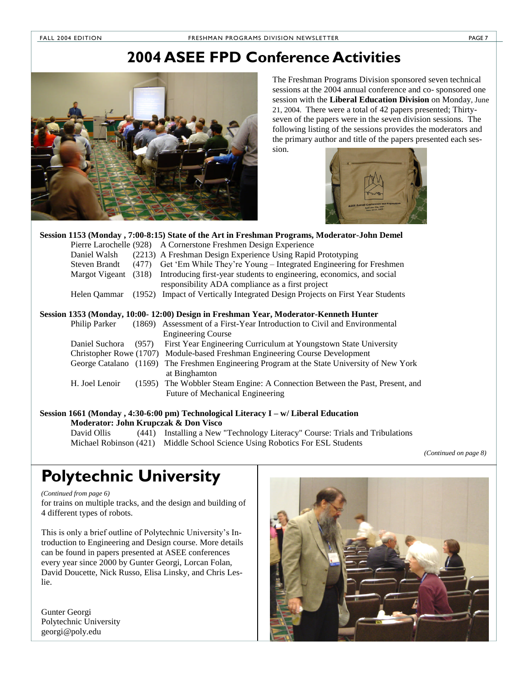#### **2004 ASEE FPD Conference Activities**



The Freshman Programs Division sponsored seven technical sessions at the 2004 annual conference and co- sponsored one session with the **Liberal Education Division** on Monday, June 21, 2004. There were a total of 42 papers presented; Thirtyseven of the papers were in the seven division sessions. The following listing of the sessions provides the moderators and the primary author and title of the papers presented each session.



|                      |       | Session 1153 (Monday, 7:00-8:15) State of the Art in Freshman Programs, Moderator-John Demel |
|----------------------|-------|----------------------------------------------------------------------------------------------|
|                      |       | Pierre Larochelle (928) A Cornerstone Freshmen Design Experience                             |
| Daniel Walsh         |       | (2213) A Freshman Design Experience Using Rapid Prototyping                                  |
| Steven Brandt        | (477) | Get 'Em While They're Young – Integrated Engineering for Freshmen                            |
| Margot Vigeant (318) |       | Introducing first-year students to engineering, economics, and social                        |
|                      |       | responsibility ADA compliance as a first project                                             |
| Helen Oammar         |       | (1952) Impact of Vertically Integrated Design Projects on First Year Students                |
|                      |       |                                                                                              |
|                      |       | Session 1353 (Monday, 10:00- 12:00) Design in Freshman Year, Moderator-Kenneth Hunter        |
| Philip Parker        |       | (1869) Assessment of a First-Year Introduction to Civil and Environmental                    |
|                      |       | <b>Engineering Course</b>                                                                    |
| Daniel Suchora       | (957) | First Year Engineering Curriculum at Youngstown State University                             |
|                      |       | Christopher Rowe (1707) Module-based Freshman Engineering Course Development                 |
|                      |       | George Catalano (1169) The Freshmen Engineering Program at the State University of New York  |
|                      |       | at Binghamton                                                                                |
| H. Joel Lenoir       |       | (1595) The Wobbler Steam Engine: A Connection Between the Past, Present, and                 |
|                      |       | <b>Future of Mechanical Engineering</b>                                                      |

**Session 1661 (Monday , 4:30-6:00 pm) Technological Literacy I –w/ Liberal Education**

**Moderator: John Krupczak & Don Visco** David Ollis (441) Installing a New "Technology Literacy" Course: Trials and Tribulations Michael Robinson (421) Middle School Science Using Robotics For ESL Students

*(Continued on page 8)*

#### **Polytechnic University**

*(Continued from page 6)*

for trains on multiple tracks, and the design and building of 4 different types of robots.

This is only a brief outline of Polytechnic University's Introduction to Engineering and Design course. More details can be found in papers presented at ASEE conferences every year since 2000 by Gunter Georgi, Lorcan Folan, David Doucette, Nick Russo, Elisa Linsky, and Chris Leslie.

Gunter Georgi Polytechnic University georgi@poly.edu